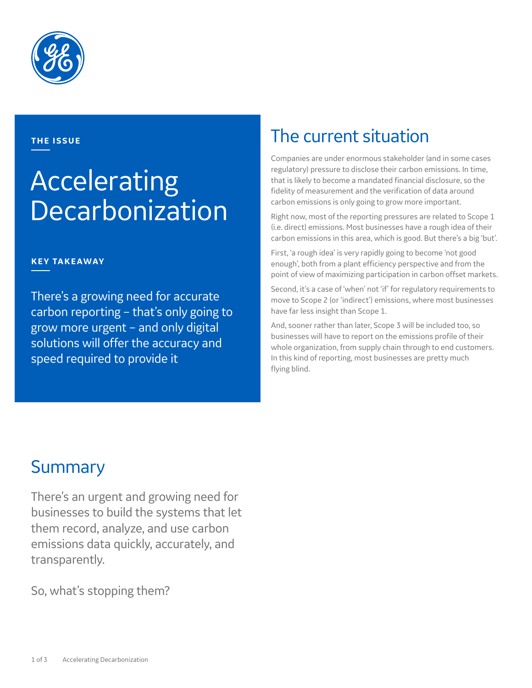

### **THE ISSUE**

# Accelerating **Decarbonization**

### **KEY TAKEAWAY**

There's a growing need for accurate carbon reporting – that's only going to grow more urgent – and only digital solutions will offer the accuracy and speed required to provide it

### The current situation

Companies are under enormous stakeholder (and in some cases regulatory) pressure to disclose their carbon emissions. In time, that is likely to become a mandated financial disclosure, so the fidelity of measurement and the verification of data around carbon emissions is only going to grow more important.

Right now, most of the reporting pressures are related to Scope 1 (i.e. direct) emissions. Most businesses have a rough idea of their carbon emissions in this area, which is good. But there's a big 'but'.

First, 'a rough idea' is very rapidly going to become 'not good enough', both from a plant efficiency perspective and from the point of view of maximizing participation in carbon offset markets.

Second, it's a case of 'when' not 'if' for regulatory requirements to move to Scope 2 (or 'indirect') emissions, where most businesses have far less insight than Scope 1.

And, sooner rather than later, Scope 3 will be included too, so businesses will have to report on the emissions profile of their whole organization, from supply chain through to end customers. In this kind of reporting, most businesses are pretty much flying blind.

### **Summary**

There's an urgent and growing need for businesses to build the systems that let them record, analyze, and use carbon emissions data quickly, accurately, and transparently.

So, what's stopping them?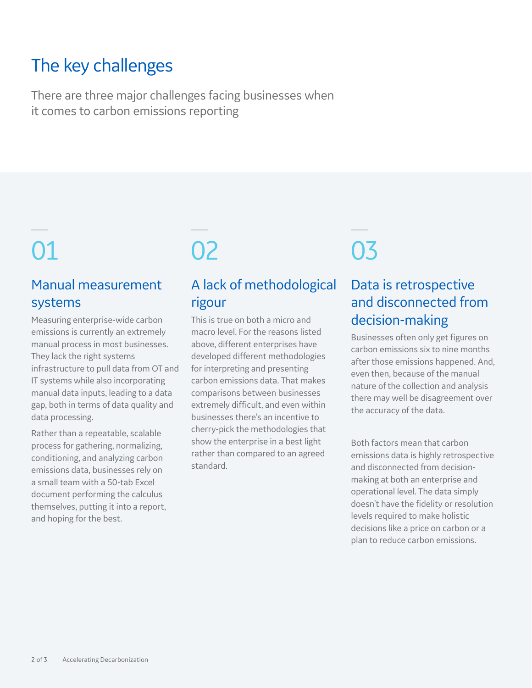## The key challenges

There are three major challenges facing businesses when it comes to carbon emissions reporting

### Manual measurement systems

Measuring enterprise-wide carbon emissions is currently an extremely manual process in most businesses. They lack the right systems infrastructure to pull data from OT and IT systems while also incorporating manual data inputs, leading to a data gap, both in terms of data quality and data processing.

Rather than a repeatable, scalable process for gathering, normalizing, conditioning, and analyzing carbon emissions data, businesses rely on a small team with a 50-tab Excel document performing the calculus themselves, putting it into a report, and hoping for the best.

### A lack of methodological rigour

This is true on both a micro and macro level. For the reasons listed above, different enterprises have developed different methodologies for interpreting and presenting carbon emissions data. That makes comparisons between businesses extremely difficult, and even within businesses there's an incentive to cherry-pick the methodologies that show the enterprise in a best light rather than compared to an agreed standard.

# 01 02 03

### Data is retrospective and disconnected from decision-making

Businesses often only get figures on carbon emissions six to nine months after those emissions happened. And, even then, because of the manual nature of the collection and analysis there may well be disagreement over the accuracy of the data.

Both factors mean that carbon emissions data is highly retrospective and disconnected from decisionmaking at both an enterprise and operational level. The data simply doesn't have the fidelity or resolution levels required to make holistic decisions like a price on carbon or a plan to reduce carbon emissions.